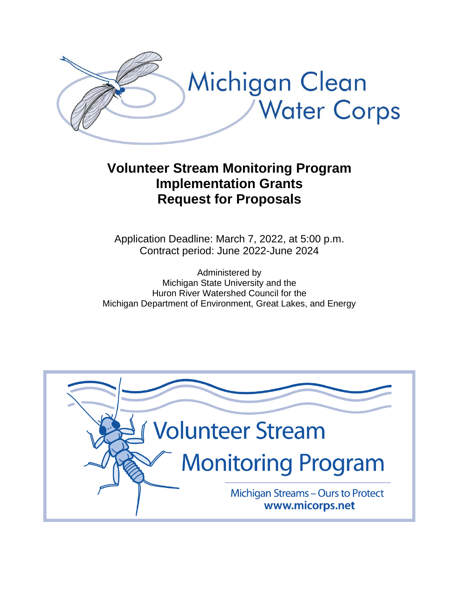

# **Volunteer Stream Monitoring Program Implementation Grants Request for Proposals**

Application Deadline: March 7, 2022, at 5:00 p.m. Contract period: June 2022-June 2024

Administered by Michigan State University and the Huron River Watershed Council for the Michigan Department of Environment, Great Lakes, and Energy

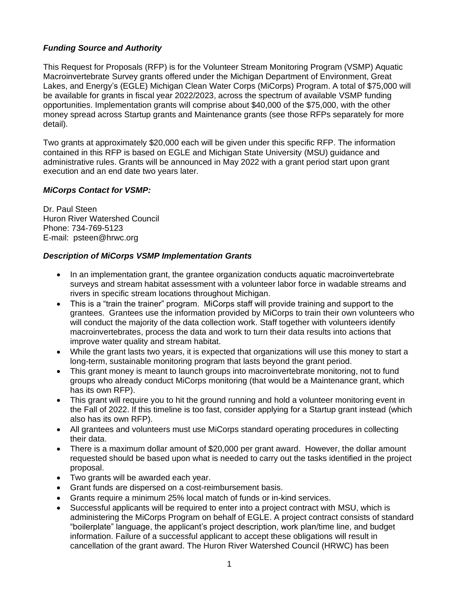## *Funding Source and Authority*

This Request for Proposals (RFP) is for the Volunteer Stream Monitoring Program (VSMP) Aquatic Macroinvertebrate Survey grants offered under the Michigan Department of Environment, Great Lakes, and Energy's (EGLE) Michigan Clean Water Corps (MiCorps) Program. A total of \$75,000 will be available for grants in fiscal year 2022/2023, across the spectrum of available VSMP funding opportunities. Implementation grants will comprise about \$40,000 of the \$75,000, with the other money spread across Startup grants and Maintenance grants (see those RFPs separately for more detail).

Two grants at approximately \$20,000 each will be given under this specific RFP. The information contained in this RFP is based on EGLE and Michigan State University (MSU) guidance and administrative rules. Grants will be announced in May 2022 with a grant period start upon grant execution and an end date two years later.

### *MiCorps Contact for VSMP:*

Dr. Paul Steen Huron River Watershed Council Phone: 734-769-5123 E-mail: psteen@hrwc.org

## *Description of MiCorps VSMP Implementation Grants*

- In an implementation grant, the grantee organization conducts aguatic macroinvertebrate surveys and stream habitat assessment with a volunteer labor force in wadable streams and rivers in specific stream locations throughout Michigan.
- This is a "train the trainer" program. MiCorps staff will provide training and support to the grantees. Grantees use the information provided by MiCorps to train their own volunteers who will conduct the majority of the data collection work. Staff together with volunteers identify macroinvertebrates, process the data and work to turn their data results into actions that improve water quality and stream habitat.
- While the grant lasts two years, it is expected that organizations will use this money to start a long-term, sustainable monitoring program that lasts beyond the grant period.
- This grant money is meant to launch groups into macroinvertebrate monitoring, not to fund groups who already conduct MiCorps monitoring (that would be a Maintenance grant, which has its own RFP).
- This grant will require you to hit the ground running and hold a volunteer monitoring event in the Fall of 2022. If this timeline is too fast, consider applying for a Startup grant instead (which also has its own RFP).
- All grantees and volunteers must use MiCorps standard operating procedures in collecting their data.
- There is a maximum dollar amount of \$20,000 per grant award. However, the dollar amount requested should be based upon what is needed to carry out the tasks identified in the project proposal.
- Two grants will be awarded each year.
- Grant funds are dispersed on a cost-reimbursement basis.
- Grants require a minimum 25% local match of funds or in-kind services.
- Successful applicants will be required to enter into a project contract with MSU, which is administering the MiCorps Program on behalf of EGLE. A project contract consists of standard "boilerplate" language, the applicant's project description, work plan/time line, and budget information. Failure of a successful applicant to accept these obligations will result in cancellation of the grant award. The Huron River Watershed Council (HRWC) has been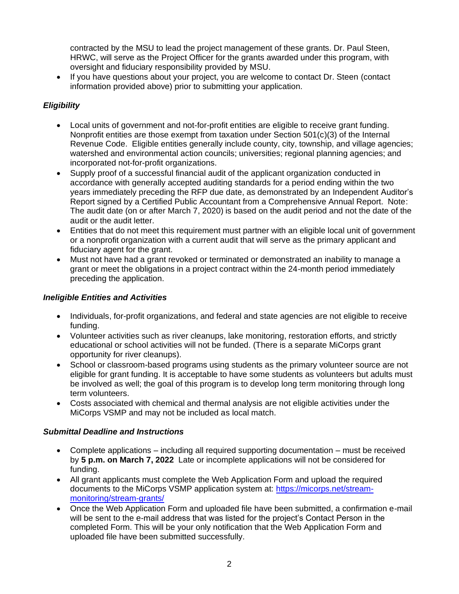contracted by the MSU to lead the project management of these grants. Dr. Paul Steen, HRWC, will serve as the Project Officer for the grants awarded under this program, with oversight and fiduciary responsibility provided by MSU.

• If you have questions about your project, you are welcome to contact Dr. Steen (contact information provided above) prior to submitting your application.

## *Eligibility*

- Local units of government and not-for-profit entities are eligible to receive grant funding. Nonprofit entities are those exempt from taxation under Section 501(c)(3) of the Internal Revenue Code. Eligible entities generally include county, city, township, and village agencies; watershed and environmental action councils; universities; regional planning agencies; and incorporated not-for-profit organizations.
- Supply proof of a successful financial audit of the applicant organization conducted in accordance with generally accepted auditing standards for a period ending within the two years immediately preceding the RFP due date, as demonstrated by an Independent Auditor's Report signed by a Certified Public Accountant from a Comprehensive Annual Report. Note: The audit date (on or after March 7, 2020) is based on the audit period and not the date of the audit or the audit letter.
- Entities that do not meet this requirement must partner with an eligible local unit of government or a nonprofit organization with a current audit that will serve as the primary applicant and fiduciary agent for the grant.
- Must not have had a grant revoked or terminated or demonstrated an inability to manage a grant or meet the obligations in a project contract within the 24-month period immediately preceding the application.

## *Ineligible Entities and Activities*

- Individuals, for-profit organizations, and federal and state agencies are not eligible to receive funding.
- Volunteer activities such as river cleanups, lake monitoring, restoration efforts, and strictly educational or school activities will not be funded. (There is a separate MiCorps grant opportunity for river cleanups).
- School or classroom-based programs using students as the primary volunteer source are not eligible for grant funding. It is acceptable to have some students as volunteers but adults must be involved as well; the goal of this program is to develop long term monitoring through long term volunteers.
- Costs associated with chemical and thermal analysis are not eligible activities under the MiCorps VSMP and may not be included as local match.

### *Submittal Deadline and Instructions*

- Complete applications including all required supporting documentation must be received by **5 p.m. on March 7, 2022** Late or incomplete applications will not be considered for funding.
- All grant applicants must complete the Web Application Form and upload the required documents to the MiCorps VSMP application system at: [https://micorps.net/stream](https://micorps.net/stream-monitoring/stream-grants/)[monitoring/stream-grants/](https://micorps.net/stream-monitoring/stream-grants/)
- Once the Web Application Form and uploaded file have been submitted, a confirmation e-mail will be sent to the e-mail address that was listed for the project's Contact Person in the completed Form. This will be your only notification that the Web Application Form and uploaded file have been submitted successfully.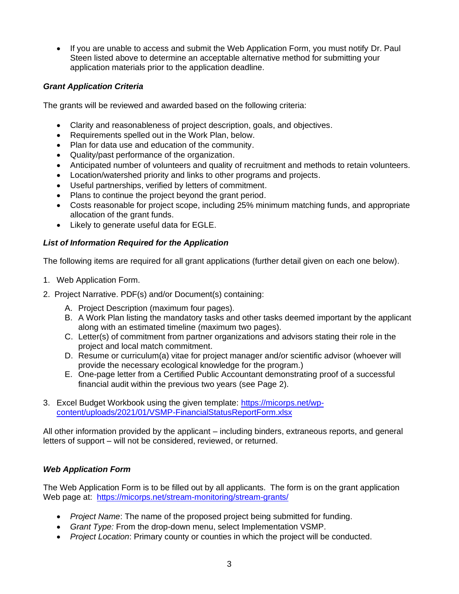• If you are unable to access and submit the Web Application Form, you must notify Dr. Paul Steen listed above to determine an acceptable alternative method for submitting your application materials prior to the application deadline.

## *Grant Application Criteria*

The grants will be reviewed and awarded based on the following criteria:

- Clarity and reasonableness of project description, goals, and objectives.
- Requirements spelled out in the Work Plan, below.
- Plan for data use and education of the community.
- Quality/past performance of the organization.
- Anticipated number of volunteers and quality of recruitment and methods to retain volunteers.
- Location/watershed priority and links to other programs and projects.
- Useful partnerships, verified by letters of commitment.
- Plans to continue the project beyond the grant period.
- Costs reasonable for project scope, including 25% minimum matching funds, and appropriate allocation of the grant funds.
- Likely to generate useful data for EGLE.

## *List of Information Required for the Application*

The following items are required for all grant applications (further detail given on each one below).

- 1. Web Application Form.
- 2. Project Narrative. PDF(s) and/or Document(s) containing:
	- A. Project Description (maximum four pages).
	- B. A Work Plan listing the mandatory tasks and other tasks deemed important by the applicant along with an estimated timeline (maximum two pages).
	- C. Letter(s) of commitment from partner organizations and advisors stating their role in the project and local match commitment.
	- D. Resume or curriculum(a) vitae for project manager and/or scientific advisor (whoever will provide the necessary ecological knowledge for the program.)
	- E. One-page letter from a Certified Public Accountant demonstrating proof of a successful financial audit within the previous two years (see Page 2).
- 3. Excel Budget Workbook using the given template: [https://micorps.net/wp](https://micorps.net/wp-content/uploads/2021/01/VSMP-FinancialStatusReportForm.xlsx)[content/uploads/2021/01/VSMP-FinancialStatusReportForm.xlsx](https://micorps.net/wp-content/uploads/2021/01/VSMP-FinancialStatusReportForm.xlsx)

All other information provided by the applicant – including binders, extraneous reports, and general letters of support – will not be considered, reviewed, or returned.

## *Web Application Form*

The Web Application Form is to be filled out by all applicants. The form is on the grant application Web page at: <https://micorps.net/stream-monitoring/stream-grants/>

- *Project Name*: The name of the proposed project being submitted for funding.
- *Grant Type:* From the drop-down menu, select Implementation VSMP.
- *Project Location*: Primary county or counties in which the project will be conducted.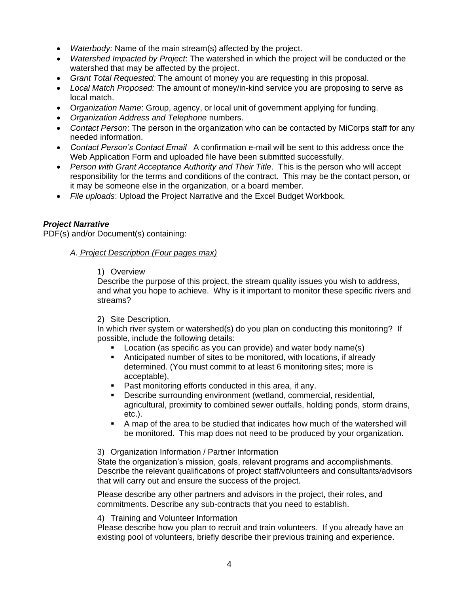- *Waterbody:* Name of the main stream(s) affected by the project.
- *Watershed Impacted by Project*: The watershed in which the project will be conducted or the watershed that may be affected by the project.
- *Grant Total Requested:* The amount of money you are requesting in this proposal.
- *Local Match Proposed:* The amount of money/in-kind service you are proposing to serve as local match.
- O*rganization Name*: Group, agency, or local unit of government applying for funding.
- *Organization Address and Telephone* numbers.
- *Contact Person*: The person in the organization who can be contacted by MiCorps staff for any needed information.
- *Contact Person's Contact Email* A confirmation e-mail will be sent to this address once the Web Application Form and uploaded file have been submitted successfully.
- *Person with Grant Acceptance Authority and Their Title*. This is the person who will accept responsibility for the terms and conditions of the contract. This may be the contact person, or it may be someone else in the organization, or a board member.
- *File uploads*: Upload the Project Narrative and the Excel Budget Workbook.

## *Project Narrative*

PDF(s) and/or Document(s) containing:

### *A. Project Description (Four pages max)*

#### 1) Overview

Describe the purpose of this project, the stream quality issues you wish to address, and what you hope to achieve. Why is it important to monitor these specific rivers and streams?

### 2) Site Description.

In which river system or watershed(s) do you plan on conducting this monitoring? If possible, include the following details:

- Location (as specific as you can provide) and water body name(s)
- Anticipated number of sites to be monitored, with locations, if already determined. (You must commit to at least 6 monitoring sites; more is acceptable),
- Past monitoring efforts conducted in this area, if any.
- Describe surrounding environment (wetland, commercial, residential, agricultural, proximity to combined sewer outfalls, holding ponds, storm drains, etc.).
- A map of the area to be studied that indicates how much of the watershed will be monitored. This map does not need to be produced by your organization.

#### 3) Organization Information / Partner Information

State the organization's mission, goals, relevant programs and accomplishments. Describe the relevant qualifications of project staff/volunteers and consultants/advisors that will carry out and ensure the success of the project.

Please describe any other partners and advisors in the project, their roles, and commitments. Describe any sub-contracts that you need to establish.

4) Training and Volunteer Information

Please describe how you plan to recruit and train volunteers. If you already have an existing pool of volunteers, briefly describe their previous training and experience.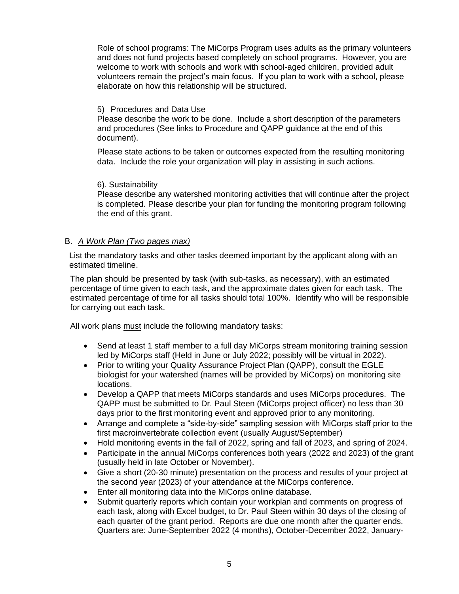Role of school programs: The MiCorps Program uses adults as the primary volunteers and does not fund projects based completely on school programs. However, you are welcome to work with schools and work with school-aged children, provided adult volunteers remain the project's main focus. If you plan to work with a school, please elaborate on how this relationship will be structured.

#### 5) Procedures and Data Use

Please describe the work to be done. Include a short description of the parameters and procedures (See links to Procedure and QAPP guidance at the end of this document).

Please state actions to be taken or outcomes expected from the resulting monitoring data. Include the role your organization will play in assisting in such actions.

#### 6). Sustainability

Please describe any watershed monitoring activities that will continue after the project is completed. Please describe your plan for funding the monitoring program following the end of this grant.

#### B. *A Work Plan (Two pages max)*

List the mandatory tasks and other tasks deemed important by the applicant along with an estimated timeline.

The plan should be presented by task (with sub-tasks, as necessary), with an estimated percentage of time given to each task, and the approximate dates given for each task. The estimated percentage of time for all tasks should total 100%. Identify who will be responsible for carrying out each task.

All work plans must include the following mandatory tasks:

- Send at least 1 staff member to a full day MiCorps stream monitoring training session led by MiCorps staff (Held in June or July 2022; possibly will be virtual in 2022).
- Prior to writing your Quality Assurance Project Plan (QAPP), consult the EGLE biologist for your watershed (names will be provided by MiCorps) on monitoring site locations.
- Develop a QAPP that meets MiCorps standards and uses MiCorps procedures. The QAPP must be submitted to Dr. Paul Steen (MiCorps project officer) no less than 30 days prior to the first monitoring event and approved prior to any monitoring.
- Arrange and complete a "side-by-side" sampling session with MiCorps staff prior to the first macroinvertebrate collection event (usually August/September)
- Hold monitoring events in the fall of 2022, spring and fall of 2023, and spring of 2024.
- Participate in the annual MiCorps conferences both years (2022 and 2023) of the grant (usually held in late October or November).
- Give a short (20-30 minute) presentation on the process and results of your project at the second year (2023) of your attendance at the MiCorps conference.
- Enter all monitoring data into the MiCorps online database.
- Submit quarterly reports which contain your workplan and comments on progress of each task, along with Excel budget, to Dr. Paul Steen within 30 days of the closing of each quarter of the grant period. Reports are due one month after the quarter ends. Quarters are: June-September 2022 (4 months), October-December 2022, January-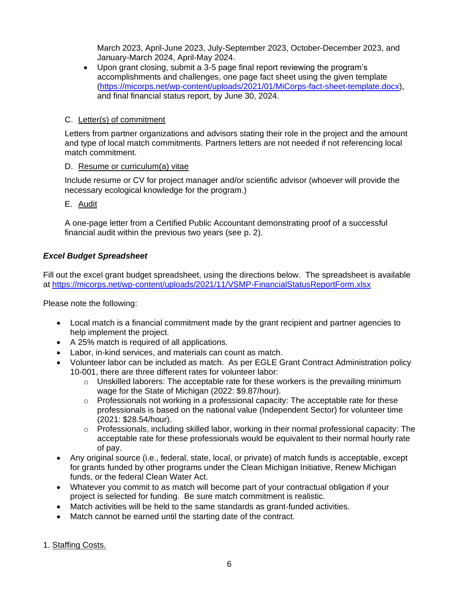March 2023, April-June 2023, July-September 2023, October-December 2023, and January-March 2024, April-May 2024.

• Upon grant closing, submit a 3-5 page final report reviewing the program's accomplishments and challenges, one page fact sheet using the given template [\(https://micorps.net/wp-content/uploads/2021/01/MiCorps-fact-sheet-template.docx\)](https://micorps.net/wp-content/uploads/2021/01/MiCorps-fact-sheet-template.docx), and final financial status report, by June 30, 2024.

## C. Letter(s) of commitment

Letters from partner organizations and advisors stating their role in the project and the amount and type of local match commitments. Partners letters are not needed if not referencing local match commitment.

## D. Resume or curriculum(a) vitae

Include resume or CV for project manager and/or scientific advisor (whoever will provide the necessary ecological knowledge for the program.)

E. Audit

A one-page letter from a Certified Public Accountant demonstrating proof of a successful financial audit within the previous two years (see p. 2).

## *Excel Budget Spreadsheet*

Fill out the excel grant budget spreadsheet, using the directions below. The spreadsheet is available at<https://micorps.net/wp-content/uploads/2021/11/VSMP-FinancialStatusReportForm.xlsx>

Please note the following:

- Local match is a financial commitment made by the grant recipient and partner agencies to help implement the project.
- A 25% match is required of all applications.
- Labor, in-kind services, and materials can count as match.
- Volunteer labor can be included as match. As per EGLE Grant Contract Administration policy 10-001, there are three different rates for volunteer labor:
	- $\circ$  Unskilled laborers: The acceptable rate for these workers is the prevailing minimum wage for the State of Michigan (2022: \$9.87/hour).
	- o Professionals not working in a professional capacity: The acceptable rate for these professionals is based on the national value (Independent Sector) for volunteer time (2021: \$28.54/hour).
	- o Professionals, including skilled labor, working in their normal professional capacity: The acceptable rate for these professionals would be equivalent to their normal hourly rate of pay.
- Any original source (i.e., federal, state, local, or private) of match funds is acceptable, except for grants funded by other programs under the Clean Michigan Initiative, Renew Michigan funds, or the federal Clean Water Act.
- Whatever you commit to as match will become part of your contractual obligation if your project is selected for funding. Be sure match commitment is realistic.
- Match activities will be held to the same standards as grant-funded activities.
- Match cannot be earned until the starting date of the contract.

1. Staffing Costs.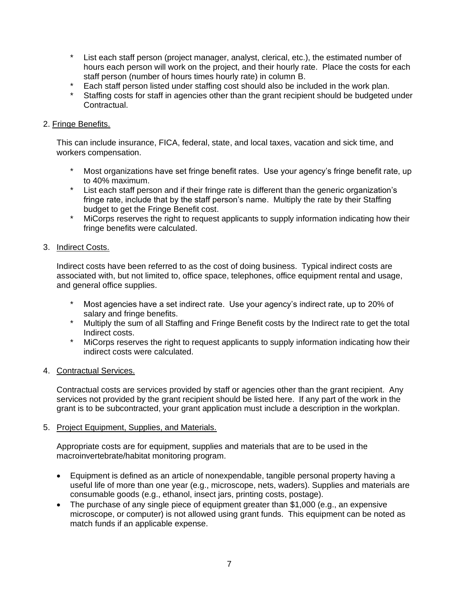- \* List each staff person (project manager, analyst, clerical, etc.), the estimated number of hours each person will work on the project, and their hourly rate. Place the costs for each staff person (number of hours times hourly rate) in column B.
- \* Each staff person listed under staffing cost should also be included in the work plan.
- Staffing costs for staff in agencies other than the grant recipient should be budgeted under Contractual.

## 2. Fringe Benefits.

This can include insurance, FICA, federal, state, and local taxes, vacation and sick time, and workers compensation.

- Most organizations have set fringe benefit rates. Use your agency's fringe benefit rate, up to 40% maximum.
- \* List each staff person and if their fringe rate is different than the generic organization's fringe rate, include that by the staff person's name. Multiply the rate by their Staffing budget to get the Fringe Benefit cost.
- \* MiCorps reserves the right to request applicants to supply information indicating how their fringe benefits were calculated.

## 3. Indirect Costs.

Indirect costs have been referred to as the cost of doing business. Typical indirect costs are associated with, but not limited to, office space, telephones, office equipment rental and usage, and general office supplies.

- \* Most agencies have a set indirect rate. Use your agency's indirect rate, up to 20% of salary and fringe benefits.
- \* Multiply the sum of all Staffing and Fringe Benefit costs by the Indirect rate to get the total Indirect costs.
- \* MiCorps reserves the right to request applicants to supply information indicating how their indirect costs were calculated.

### 4. Contractual Services.

Contractual costs are services provided by staff or agencies other than the grant recipient. Any services not provided by the grant recipient should be listed here. If any part of the work in the grant is to be subcontracted, your grant application must include a description in the workplan.

### 5. Project Equipment, Supplies, and Materials.

Appropriate costs are for equipment, supplies and materials that are to be used in the macroinvertebrate/habitat monitoring program.

- Equipment is defined as an article of nonexpendable, tangible personal property having a useful life of more than one year (e.g., microscope, nets, waders). Supplies and materials are consumable goods (e.g., ethanol, insect jars, printing costs, postage).
- The purchase of any single piece of equipment greater than \$1,000 (e.g., an expensive microscope, or computer) is not allowed using grant funds. This equipment can be noted as match funds if an applicable expense.